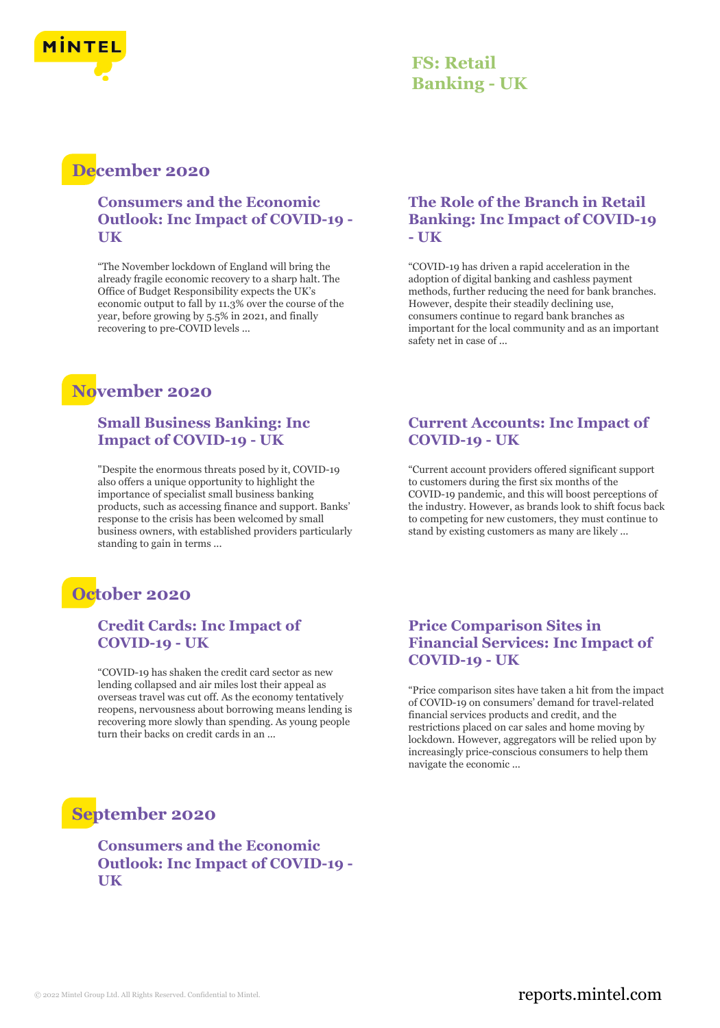

## **FS: Retail Banking - UK**

## **December 2020**

**Consumers and the Economic Outlook: Inc Impact of COVID-19 - UK**

"The November lockdown of England will bring the already fragile economic recovery to a sharp halt. The Office of Budget Responsibility expects the UK's economic output to fall by 11.3% over the course of the year, before growing by 5.5% in 2021, and finally recovering to pre-COVID levels ...

## **November 2020**

#### **Small Business Banking: Inc Impact of COVID-19 - UK**

"Despite the enormous threats posed by it, COVID-19 also offers a unique opportunity to highlight the importance of specialist small business banking products, such as accessing finance and support. Banks' response to the crisis has been welcomed by small business owners, with established providers particularly standing to gain in terms ...

## **October 2020**

#### **Credit Cards: Inc Impact of COVID-19 - UK**

"COVID-19 has shaken the credit card sector as new lending collapsed and air miles lost their appeal as overseas travel was cut off. As the economy tentatively reopens, nervousness about borrowing means lending is recovering more slowly than spending. As young people turn their backs on credit cards in an ...

#### **The Role of the Branch in Retail Banking: Inc Impact of COVID-19 - UK**

"COVID-19 has driven a rapid acceleration in the adoption of digital banking and cashless payment methods, further reducing the need for bank branches. However, despite their steadily declining use, consumers continue to regard bank branches as important for the local community and as an important safety net in case of ...

## **Current Accounts: Inc Impact of COVID-19 - UK**

"Current account providers offered significant support to customers during the first six months of the COVID-19 pandemic, and this will boost perceptions of the industry. However, as brands look to shift focus back to competing for new customers, they must continue to stand by existing customers as many are likely ...

## **Price Comparison Sites in Financial Services: Inc Impact of COVID-19 - UK**

"Price comparison sites have taken a hit from the impact of COVID-19 on consumers' demand for travel-related financial services products and credit, and the restrictions placed on car sales and home moving by lockdown. However, aggregators will be relied upon by increasingly price-conscious consumers to help them navigate the economic ...

## **September 2020**

**Consumers and the Economic Outlook: Inc Impact of COVID-19 - UK**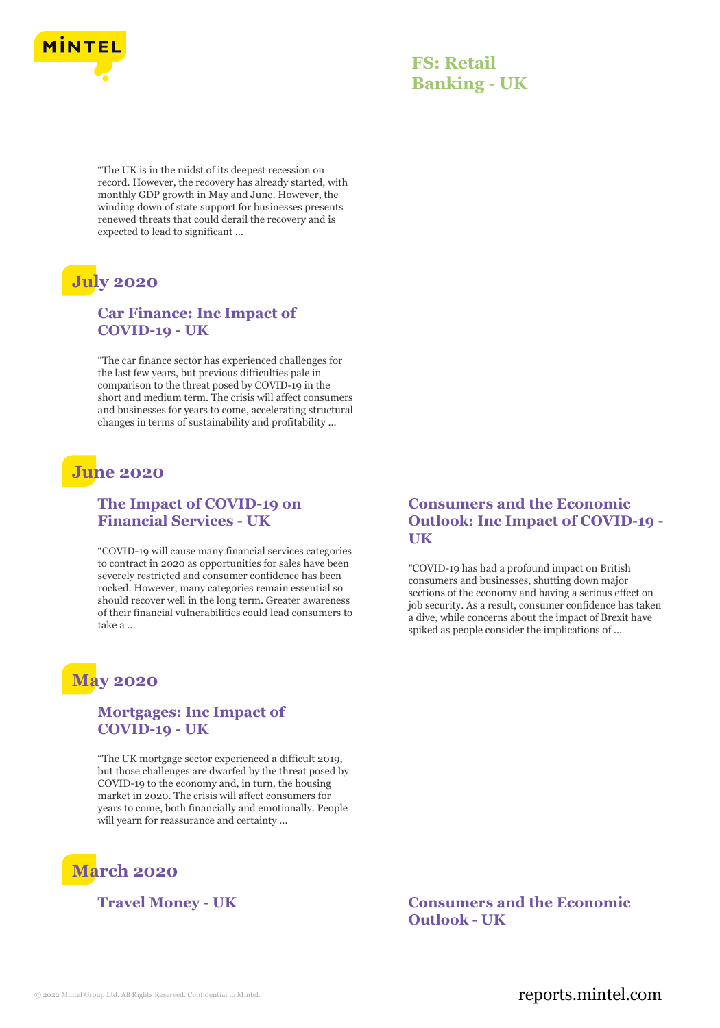

## **FS: Retail Banking - UK**

"The UK is in the midst of its deepest recession on record. However, the recovery has already started, with monthly GDP growth in May and June. However, the winding down of state support for businesses presents renewed threats that could derail the recovery and is expected to lead to significant ...

# **July 2020**

#### **Car Finance: Inc Impact of COVID-19 - UK**

"The car finance sector has experienced challenges for the last few years, but previous difficulties pale in comparison to the threat posed by COVID-19 in the short and medium term. The crisis will affect consumers and businesses for years to come, accelerating structural changes in terms of sustainability and profitability ...

## **June 2020**

#### **The Impact of COVID-19 on Financial Services - UK**

"COVID-19 will cause many financial services categories to contract in 2020 as opportunities for sales have been severely restricted and consumer confidence has been rocked. However, many categories remain essential so should recover well in the long term. Greater awareness of their financial vulnerabilities could lead consumers to take a ...

## **May 2020**

#### **Mortgages: Inc Impact of COVID-19 - UK**

"The UK mortgage sector experienced a difficult 2019, but those challenges are dwarfed by the threat posed by COVID-19 to the economy and, in turn, the housing market in 2020. The crisis will affect consumers for years to come, both financially and emotionally. People will yearn for reassurance and certainty ...



**Consumers and the Economic Outlook: Inc Impact of COVID-19 - UK**

"COVID-19 has had a profound impact on British consumers and businesses, shutting down major sections of the economy and having a serious effect on job security. As a result, consumer confidence has taken a dive, while concerns about the impact of Brexit have spiked as people consider the implications of ...

#### **Travel Money - UK Consumers and the Economic Outlook - UK**